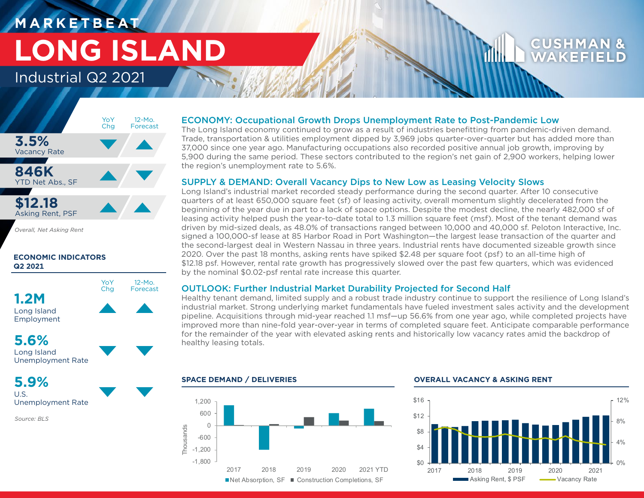# **M A R K E T B E AT LONG ISLAND**

## Industrial Q2 2021



*Overall, Net Asking Rent*

### **ECONOMIC INDICATORS Q2 2021**



## **5.6%**

Long Island Unemployment Rate

## **5.9%**

U.S. Unemployment Rate

*Source: BLS*

### ECONOMY: Occupational Growth Drops Unemployment Rate to Post-Pandemic Low

The Long Island economy continued to grow as a result of industries benefitting from pandemic-driven demand. Trade, transportation & utilities employment dipped by 3,969 jobs quarter-over-quarter but has added more than 37,000 since one year ago. Manufacturing occupations also recorded positive annual job growth, improving by 5,900 during the same period. These sectors contributed to the region's net gain of 2,900 workers, helping lower the region's unemployment rate to 5.6%.

### SUPPLY & DEMAND: Overall Vacancy Dips to New Low as Leasing Velocity Slows

Long Island's industrial market recorded steady performance during the second quarter. After 10 consecutive quarters of at least 650,000 square feet (sf) of leasing activity, overall momentum slightly decelerated from the beginning of the year due in part to a lack of space options. Despite the modest decline, the nearly 482,000 sf of leasing activity helped push the year-to-date total to 1.3 million square feet (msf). Most of the tenant demand was driven by mid-sized deals, as 48.0% of transactions ranged between 10,000 and 40,000 sf. Peloton Interactive, Inc. signed a 100,000-sf lease at 85 Harbor Road in Port Washington—the largest lease transaction of the quarter and the second-largest deal in Western Nassau in three years. Industrial rents have documented sizeable growth since 2020. Over the past 18 months, asking rents have spiked \$2.48 per square foot (psf) to an all-time high of \$12.18 psf. However, rental rate growth has progressively slowed over the past few quarters, which was evidenced by the nominal \$0.02-psf rental rate increase this quarter.

### OUTLOOK: Further Industrial Market Durability Projected for Second Half

Healthy tenant demand, limited supply and a robust trade industry continue to support the resilience of Long Island's industrial market. Strong underlying market fundamentals have fueled investment sales activity and the development pipeline. Acquisitions through mid-year reached 1.1 msf—up 56.6% from one year ago, while completed projects have improved more than nine-fold year-over-year in terms of completed square feet. Anticipate comparable performance for the remainder of the year with elevated asking rents and historically low vacancy rates amid the backdrop of healthy leasing totals.



### **SPACE DEMAND / DELIVERIES OVERALL VACANCY & ASKING RENT**



CUSHM WAKFF